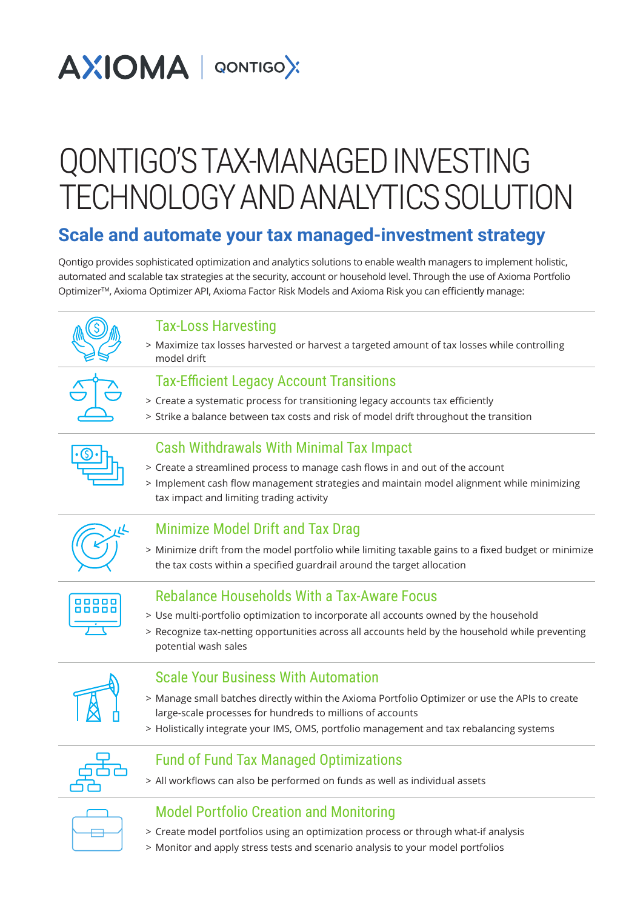# **AXIOMA** | QONTIGOX

# QONTIGO'S TAX-MANAGED INVESTING TECHNOLOGY AND ANALYTICS SOLUTION

# **Scale and automate your tax managed-investment strategy**

Qontigo provides sophisticated optimization and analytics solutions to enable wealth managers to implement holistic, automated and scalable tax strategies at the security, account or household level. Through the use of Axioma Portfolio OptimizerTM, Axioma Optimizer API, Axioma Factor Risk Models and Axioma Risk you can efficiently manage:

# Tax-Loss Harvesting

> Maximize tax losses harvested or harvest a targeted amount of tax losses while controlling model drift

#### Tax-Efficient Legacy Account Transitions

- > Create a systematic process for transitioning legacy accounts tax efficiently
- > Strike a balance between tax costs and risk of model drift throughout the transition

# Cash Withdrawals With Minimal Tax Impact

- > Create a streamlined process to manage cash flows in and out of the account
- > Implement cash flow management strategies and maintain model alignment while minimizing tax impact and limiting trading activity

## Minimize Model Drift and Tax Drag

> Minimize drift from the model portfolio while limiting taxable gains to a fixed budget or minimize the tax costs within a specified guardrail around the target allocation



## Rebalance Households With a Tax-Aware Focus

- > Use multi-portfolio optimization to incorporate all accounts owned by the household
- > Recognize tax-netting opportunities across all accounts held by the household while preventing potential wash sales

## Scale Your Business With Automation

- > Manage small batches directly within the Axioma Portfolio Optimizer or use the APIs to create large-scale processes for hundreds to millions of accounts
- > Holistically integrate your IMS, OMS, portfolio management and tax rebalancing systems



## Fund of Fund Tax Managed Optimizations

> All workflows can also be performed on funds as well as individual assets

## Model Portfolio Creation and Monitoring

- > Create model portfolios using an optimization process or through what-if analysis
- > Monitor and apply stress tests and scenario analysis to your model portfolios